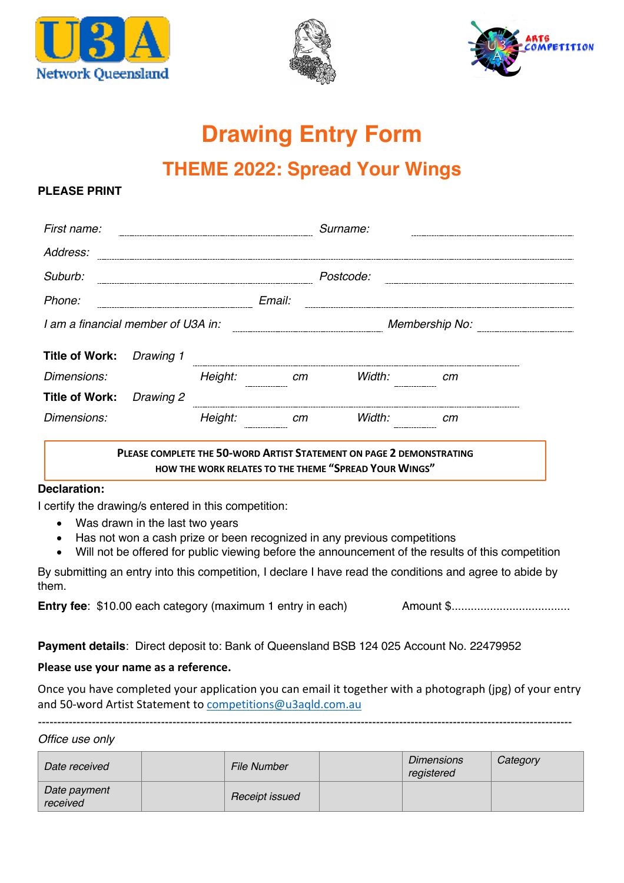





# **Drawing Entry Form**

# **THEME 2022: Spread Your Wings**

### **PI FASE PRINT**

| First name:                                                                                                                   |           |         |        | Surname:       |    |  |  |  |  |
|-------------------------------------------------------------------------------------------------------------------------------|-----------|---------|--------|----------------|----|--|--|--|--|
| Address:                                                                                                                      |           |         |        |                |    |  |  |  |  |
| Suburb:                                                                                                                       |           |         |        | Postcode:      |    |  |  |  |  |
| Phone:                                                                                                                        |           |         | Email: |                |    |  |  |  |  |
| I am a financial member of U3A in:                                                                                            |           |         |        | Membership No: |    |  |  |  |  |
| <b>Title of Work:</b>                                                                                                         | Drawing 1 |         |        |                |    |  |  |  |  |
| Dimensions:                                                                                                                   |           | Height: | cm     | Width:         | cт |  |  |  |  |
| <b>Title of Work:</b>                                                                                                         | Drawing 2 |         |        |                |    |  |  |  |  |
| Dimensions:                                                                                                                   |           | Height: | cm     | Width:         | cm |  |  |  |  |
| PLEASE COMPLETE THE 50-WORD ARTIST STATEMENT ON PAGE 2 DEMONSTRATING<br>HOW THE WORK RELATES TO THE THEME "SPREAD YOUR WINGS" |           |         |        |                |    |  |  |  |  |

#### **Declaration:**

I certify the drawing/s entered in this competition:

- Was drawn in the last two years
- Has not won a cash prize or been recognized in any previous competitions
- Will not be offered for public viewing before the announcement of the results of this competition

By submitting an entry into this competition, I declare I have read the conditions and agree to abide by them.

**Entry fee**: \$10.00 each category (maximum 1 entry in each) Amount \$.....................................

**Payment details**: Direct deposit to: Bank of Queensland BSB 124 025 Account No. 22479952

#### **Please use your name as a reference.**

Once you have completed your application you can email it together with a photograph (jpg) of your entry and 50-word Artist Statement to competitions@u3aqld.com.au

-------------------------------------------------------------------------------------------------------------------------------------------

*Office use only*

| Date received            | <b>File Number</b> | <b>Dimensions</b><br>registered | Category |
|--------------------------|--------------------|---------------------------------|----------|
| Date payment<br>received | Receipt issued     |                                 |          |